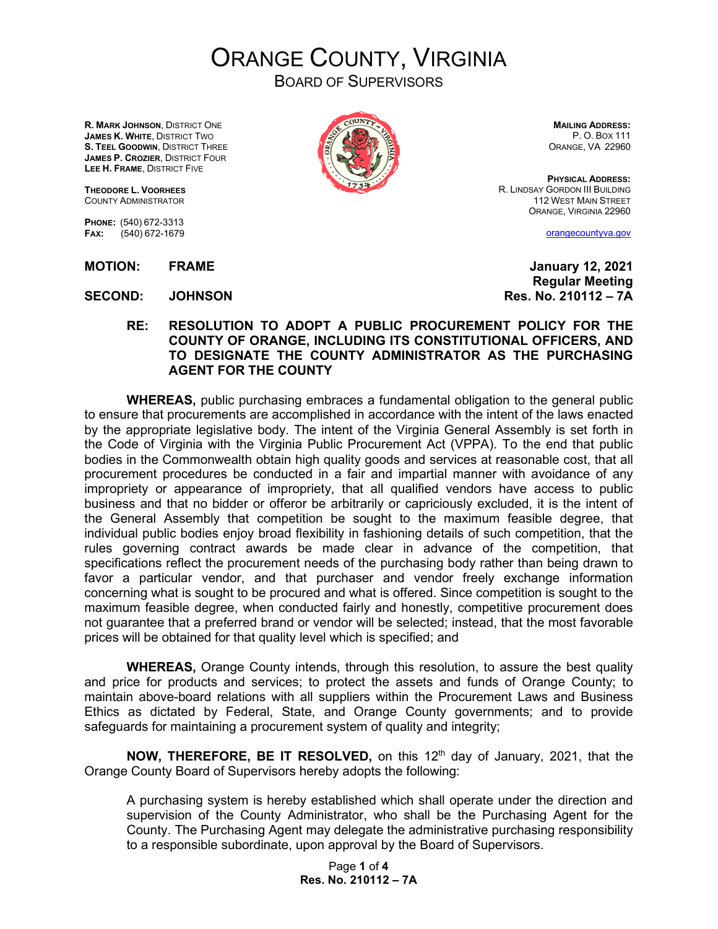ORANGE COUNTY, VIRGINIA

BOARD OF SUPERVISORS

**R. MARK JOHNSON**, DISTRICT ONE **JAMES K. WHITE**, DISTRICT TWO **S. TEEL GOODWIN**, DISTRICT THREE **JAMES P. CROZIER**, DISTRICT FOUR **LEE H. FRAME**, DISTRICT FIVE

**THEODORE L. VOORHEES** COUNTY ADMINISTRATOR

**PHONE:** (540) 672-3313 **FAX:** (540) 672-1679

**SECOND: JOHNSON Res. No. 210112 – 7A**

**MAILING ADDRESS:** P. O. BOX 111 ORANGE, VA 22960

**PHYSICAL ADDRESS:** R. LINDSAY GORDON III BUILDING 112 WEST MAIN STREET ORANGE, VIRGINIA 22960

[orangecountyva.gov](http://www.orangecountyva.gov/)

**MOTION: FRAME January 12, 2021 Regular Meeting**

**RE: RESOLUTION TO ADOPT A PUBLIC PROCUREMENT POLICY FOR THE COUNTY OF ORANGE, INCLUDING ITS CONSTITUTIONAL OFFICERS, AND TO DESIGNATE THE COUNTY ADMINISTRATOR AS THE PURCHASING AGENT FOR THE COUNTY**

**WHEREAS,** public purchasing embraces a fundamental obligation to the general public to ensure that procurements are accomplished in accordance with the intent of the laws enacted by the appropriate legislative body. The intent of the Virginia General Assembly is set forth in the Code of Virginia with the Virginia Public Procurement Act (VPPA). To the end that public bodies in the Commonwealth obtain high quality goods and services at reasonable cost, that all procurement procedures be conducted in a fair and impartial manner with avoidance of any impropriety or appearance of impropriety, that all qualified vendors have access to public business and that no bidder or offeror be arbitrarily or capriciously excluded, it is the intent of the General Assembly that competition be sought to the maximum feasible degree, that individual public bodies enjoy broad flexibility in fashioning details of such competition, that the rules governing contract awards be made clear in advance of the competition, that specifications reflect the procurement needs of the purchasing body rather than being drawn to favor a particular vendor, and that purchaser and vendor freely exchange information concerning what is sought to be procured and what is offered. Since competition is sought to the maximum feasible degree, when conducted fairly and honestly, competitive procurement does not guarantee that a preferred brand or vendor will be selected; instead, that the most favorable prices will be obtained for that quality level which is specified; and

**WHEREAS,** Orange County intends, through this resolution, to assure the best quality and price for products and services; to protect the assets and funds of Orange County; to maintain above-board relations with all suppliers within the Procurement Laws and Business Ethics as dictated by Federal, State, and Orange County governments; and to provide safeguards for maintaining a procurement system of quality and integrity;

**NOW, THEREFORE, BE IT RESOLVED,** on this 12<sup>th</sup> day of January, 2021, that the Orange County Board of Supervisors hereby adopts the following:

A purchasing system is hereby established which shall operate under the direction and supervision of the County Administrator, who shall be the Purchasing Agent for the County. The Purchasing Agent may delegate the administrative purchasing responsibility to a responsible subordinate, upon approval by the Board of Supervisors.

> Page **1** of **4 Res. No. 210112 – 7A**

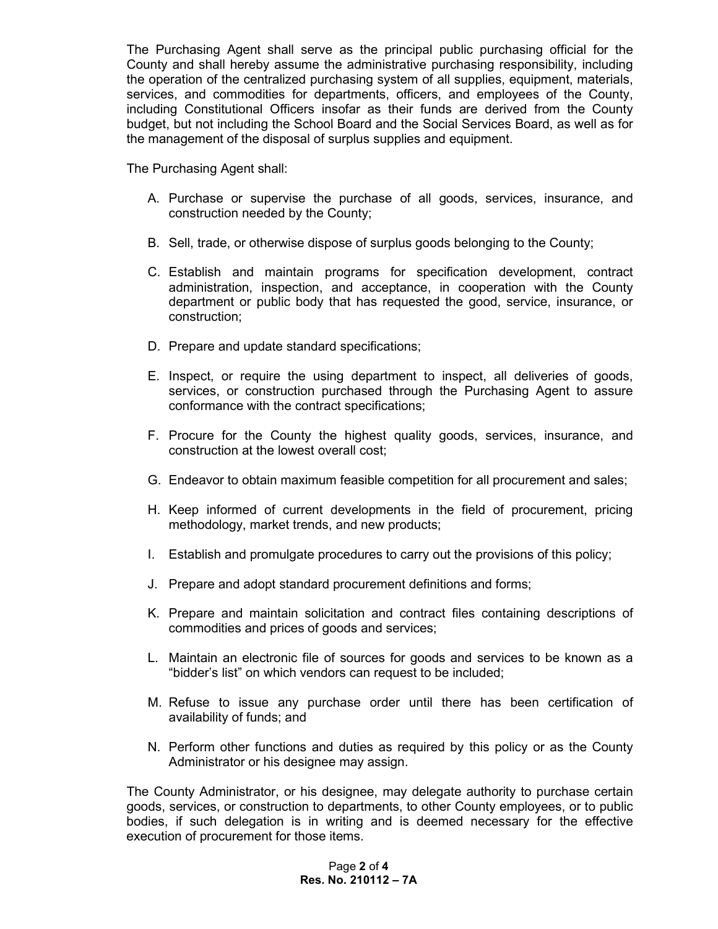The Purchasing Agent shall serve as the principal public purchasing official for the County and shall hereby assume the administrative purchasing responsibility, including the operation of the centralized purchasing system of all supplies, equipment, materials, services, and commodities for departments, officers, and employees of the County, including Constitutional Officers insofar as their funds are derived from the County budget, but not including the School Board and the Social Services Board, as well as for the management of the disposal of surplus supplies and equipment.

The Purchasing Agent shall:

- A. Purchase or supervise the purchase of all goods, services, insurance, and construction needed by the County;
- B. Sell, trade, or otherwise dispose of surplus goods belonging to the County;
- C. Establish and maintain programs for specification development, contract administration, inspection, and acceptance, in cooperation with the County department or public body that has requested the good, service, insurance, or construction;
- D. Prepare and update standard specifications;
- E. Inspect, or require the using department to inspect, all deliveries of goods, services, or construction purchased through the Purchasing Agent to assure conformance with the contract specifications;
- F. Procure for the County the highest quality goods, services, insurance, and construction at the lowest overall cost;
- G. Endeavor to obtain maximum feasible competition for all procurement and sales;
- H. Keep informed of current developments in the field of procurement, pricing methodology, market trends, and new products;
- I. Establish and promulgate procedures to carry out the provisions of this policy;
- J. Prepare and adopt standard procurement definitions and forms;
- K. Prepare and maintain solicitation and contract files containing descriptions of commodities and prices of goods and services;
- L. Maintain an electronic file of sources for goods and services to be known as a "bidder's list" on which vendors can request to be included;
- M. Refuse to issue any purchase order until there has been certification of availability of funds; and
- N. Perform other functions and duties as required by this policy or as the County Administrator or his designee may assign.

The County Administrator, or his designee, may delegate authority to purchase certain goods, services, or construction to departments, to other County employees, or to public bodies, if such delegation is in writing and is deemed necessary for the effective execution of procurement for those items.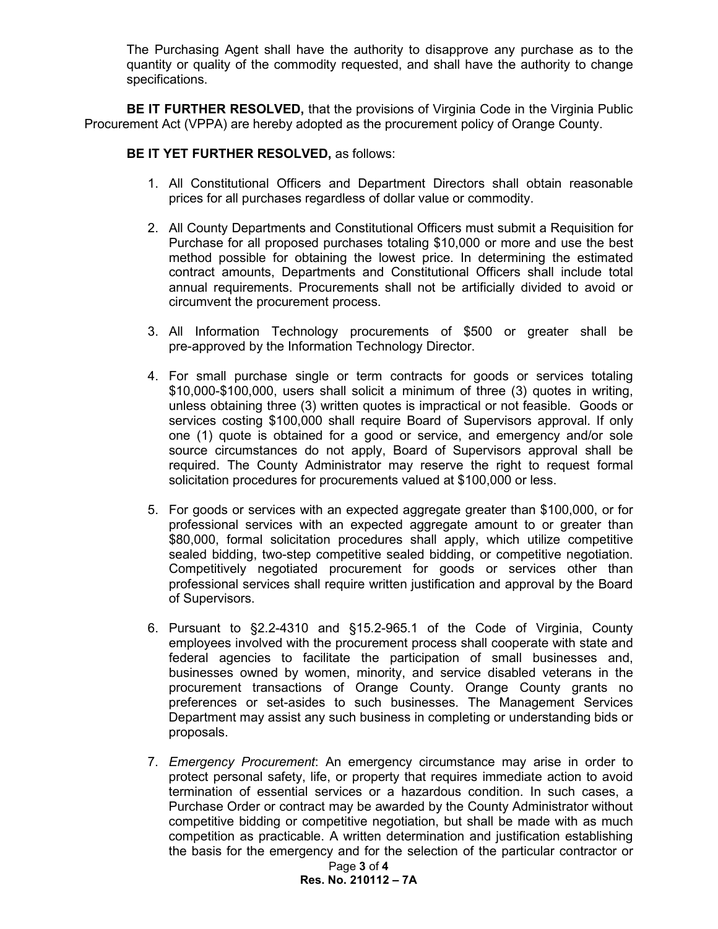The Purchasing Agent shall have the authority to disapprove any purchase as to the quantity or quality of the commodity requested, and shall have the authority to change specifications.

**BE IT FURTHER RESOLVED,** that the provisions of Virginia Code in the Virginia Public Procurement Act (VPPA) are hereby adopted as the procurement policy of Orange County.

## **BE IT YET FURTHER RESOLVED,** as follows:

- 1. All Constitutional Officers and Department Directors shall obtain reasonable prices for all purchases regardless of dollar value or commodity.
- 2. All County Departments and Constitutional Officers must submit a Requisition for Purchase for all proposed purchases totaling \$10,000 or more and use the best method possible for obtaining the lowest price. In determining the estimated contract amounts, Departments and Constitutional Officers shall include total annual requirements. Procurements shall not be artificially divided to avoid or circumvent the procurement process.
- 3. All Information Technology procurements of \$500 or greater shall be pre-approved by the Information Technology Director.
- 4. For small purchase single or term contracts for goods or services totaling \$10,000-\$100,000, users shall solicit a minimum of three (3) quotes in writing, unless obtaining three (3) written quotes is impractical or not feasible. Goods or services costing \$100,000 shall require Board of Supervisors approval. If only one (1) quote is obtained for a good or service, and emergency and/or sole source circumstances do not apply, Board of Supervisors approval shall be required. The County Administrator may reserve the right to request formal solicitation procedures for procurements valued at \$100,000 or less.
- 5. For goods or services with an expected aggregate greater than \$100,000, or for professional services with an expected aggregate amount to or greater than \$80,000, formal solicitation procedures shall apply, which utilize competitive sealed bidding, two-step competitive sealed bidding, or competitive negotiation. Competitively negotiated procurement for goods or services other than professional services shall require written justification and approval by the Board of Supervisors.
- 6. Pursuant to §2.2-4310 and §15.2-965.1 of the Code of Virginia, County employees involved with the procurement process shall cooperate with state and federal agencies to facilitate the participation of small businesses and, businesses owned by women, minority, and service disabled veterans in the procurement transactions of Orange County. Orange County grants no preferences or set-asides to such businesses. The Management Services Department may assist any such business in completing or understanding bids or proposals.
- 7. *Emergency Procurement*: An emergency circumstance may arise in order to protect personal safety, life, or property that requires immediate action to avoid termination of essential services or a hazardous condition. In such cases, a Purchase Order or contract may be awarded by the County Administrator without competitive bidding or competitive negotiation, but shall be made with as much competition as practicable. A written determination and justification establishing the basis for the emergency and for the selection of the particular contractor or